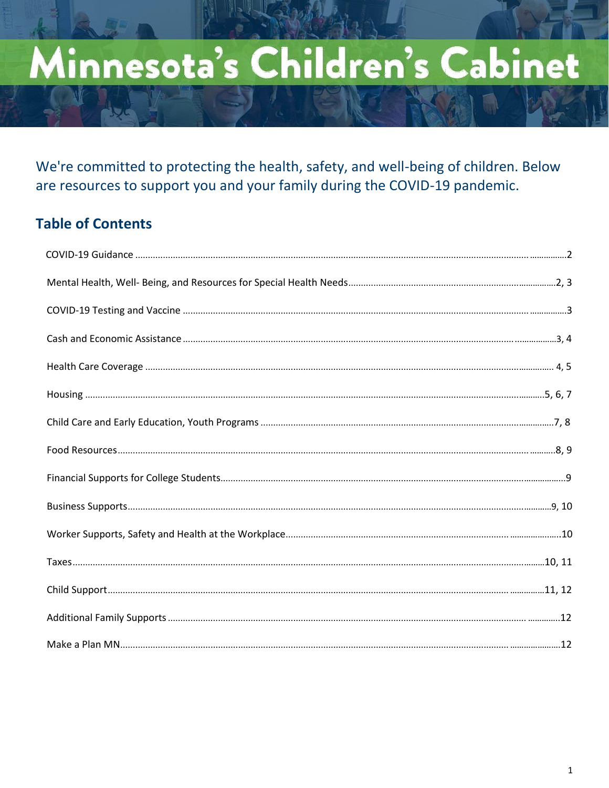# Minnesota's Children's Cabinet

We're committed to protecting the health, safety, and well-being of children. Below are resources to support you and your family during the COVID-19 pandemic.

## **Table of Contents**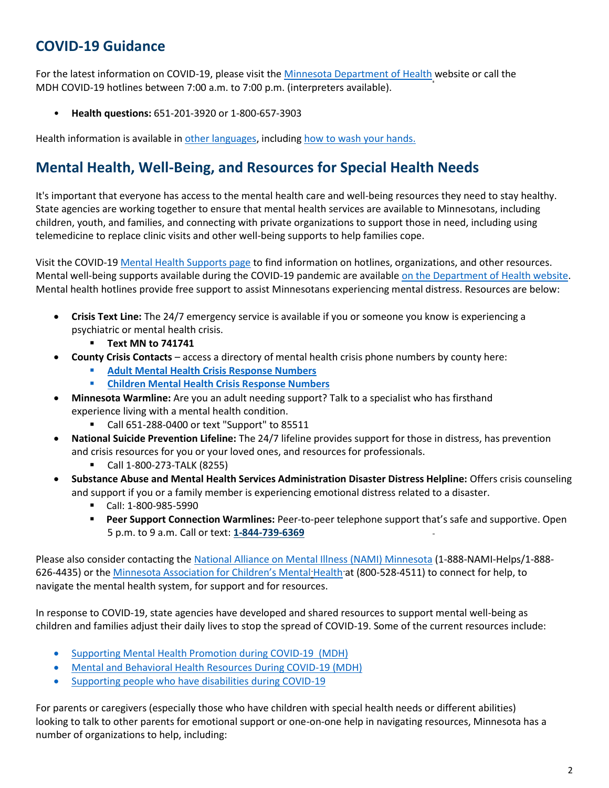## **COVID-19 Guidance**

For the latest information on COVID-19, please visit th[e Minnesota Department of Health](https://www.health.state.mn.us/diseases/coronavirus/index.html) website or call the MDH COVID-19 hotlines between 7:00 a.m. to 7:00 p.m. (interpreters available).

• **Health questions:** 651-201-3920 or 1-800-657-3903

Health information is available in [other languages,](https://www.health.state.mn.us/diseases/coronavirus/materials/index.html#languages) including [how to wash your hands.](https://www.health.state.mn.us/diseases/coronavirus/materials/videos.html#hand)

## **Mental Health, Well-Being, and Resources for Special Health Needs**

It's important that everyone has access to the mental health care and well-being resources they need to stay healthy. State agencies are working together to ensure that mental health services are available to Minnesotans, including children, youth, and families, and connecting with private organizations to support those in need, including using telemedicine to replace clinic visits and other well-being supports to help families cope.

Visit the COVID-19 [Mental Health Supports page](https://mn.gov/covid19/for-minnesotans/get-help/mental-health.jsp) to find information on hotlines, organizations, and other resources. Mental well-being supports available during the COVID-19 pandemic are available [on the Department of Health website.](https://www.health.state.mn.us/docs/communities/mentalhealth/mwbcovid19.pdf) Mental health hotlines provide free support to assist Minnesotans experiencing mental distress. Resources are below:

- **Crisis Text Line:** The 24/7 emergency service is available if you or someone you know is experiencing a psychiatric or mental health crisis.
	- **Text MN to 741741**
- **County Crisis Contacts**  access a directory of mental health crisis phone numbers by county here:
	- **[Adult Mental Health Crisis Response Numbers](https://mn.gov/dhs/people-we-serve/adults/health-care/mental-health/resources/crisis-contacts.jsp)**
	- **[Children Mental Health Crisis Response Numbers](https://mn.gov/dhs/people-we-serve/people-with-disabilities/health-care/childrens-mental-health/resources/crisis-contacts.jsp)**
- **Minnesota Warmline:** Are you an adult needing support? Talk to a specialist who has firsthand experience living with a mental health condition.
	- Call 651-288-0400 or text "Support" to 85511
- **National Suicide Prevention Lifeline:** The 24/7 lifeline provides support for those in distress, has prevention and crisis resources for you or your loved ones, and resources for professionals.
	- Call 1-800-273-TALK (8255)
- **Substance Abuse and Mental Health Services Administration Disaster Distress Helpline:** Offers crisis counseling and support if you or a family member is experiencing emotional distress related to a disaster.
	- Call: 1-800-985-5990
	- **Peer Support Connection Warmlines:** Peer-to-peer telephone support that's safe and supportive. Open 5 p.m. to 9 a.m. Call or text: **[1-844-739-6369](tel:1-844-739-6369)**

Please also consider contacting the [National Alliance on Mental Illness \(NAMI\) Minnesota](https://namimn.org/) (1-888-NAMI-Helps/1-888- 626-4435) or the [Minnesota Association for Children's Mental](https://macmh.org/) Health at (800-528-4511) to connect for help, to navigate the mental health system, for support and for resources.

In response to COVID-19, state agencies have developed and shared resources to support mental well-being as children and families adjust their daily lives to stop the spread of COVID-19. Some of the current resources include:

- [Supporting Mental Health Promotion during COVID-19](https://www.health.state.mn.us/communities/mentalhealth/index.html) (MDH)
- [Mental and Behavioral Health Resources During COVID-19 \(](https://www.health.state.mn.us/communities/ep/behavioral/covid19.html)MDH)
- [Supporting people who have disabilities during COVID-19](https://disabilityhubmn.org/top-topics/other/covid-19/resources/)

For parents or caregivers (especially those who have children with special health needs or different abilities) looking to talk to other parents for emotional support or one-on-one help in navigating resources, Minnesota has a number of organizations to help, including: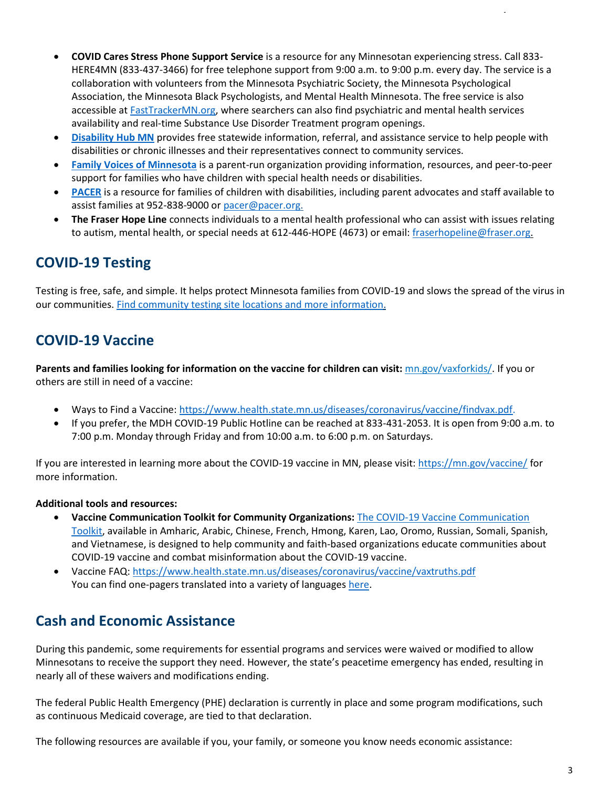- **COVID Cares Stress Phone Support Service** is a resource for any Minnesotan experiencing stress. Call 833- HERE4MN (833-437-3466) for free telephone support from 9:00 a.m. to 9:00 p.m. every day. The service is a collaboration with volunteers from the Minnesota Psychiatric Society, the Minnesota Psychological Association, the Minnesota Black Psychologists, and Mental Health Minnesota. The free service is also accessible at [FastTrackerMN.org,](https://fasttrackermn.org/) where searchers can also find psychiatric and mental health services availability and real-time Substance Use Disorder Treatment program openings.
- **[Disability Hub MN](https://disabilityhubmn.org/)** provides free statewide information, referral, and assistance service to help people with disabilities or chronic illnesses and their representatives connect to community services.
- **[Family Voices of Minnesota](http://www.familyvoicesofminnesota.org/)** is a parent-run organization providing information, resources, and peer-to-peer support for families who have children with special health needs or disabilities.
- **[PACER](https://gcc01.safelinks.protection.outlook.com/?url=https%3A%2F%2Fwww.pacer.org%2F&data=02%7C01%7Cnicole.brown%40state.mn.us%7Cc77af13865874d0895fd08d7e0b41847%7Ceb14b04624c445198f26b89c2159828c%7C0%7C0%7C637224936419448001&sdata=3lgj9vKkVeTqqZuobna6S0bAAV2TFx4%2FPf1m1z6B6BA%3D&reserved=0)** is a resource for families of children with disabilities, including parent advocates and staff available to assist families at 952-838-9000 o[r pacer@pacer.org.](mailto:pacer@pacer.org)
- **The Fraser Hope Line** connects individuals to a mental health professional who can assist with issues relating to autism, mental health, or special needs at 612-446-HOPE (4673) or email[: fraserhopeline@fraser.org.](mailto:fraserhopeline@fraser.org)

## **COVID-19 Testing**

Testing is free, safe, and simple. It helps protect Minnesota families from COVID-19 and slows the spread of the virus in our communities. Find community testing site [locations and more information.](https://mn.gov/covid19/get-tested/testing-locations/community-testing.jsp)

## **COVID-19 Vaccine**

**Parents and families looking for information on the vaccine for children can visit:** [mn.gov/vaxforkids/.](https://mn.gov/covid19/vaccine/vaxforkids/) If you or others are still in need of a vaccine:

- Ways to Find a Vaccine: [https://www.health.state.mn.us/diseases/coronavirus/vaccine/findvax.pdf.](https://www.health.state.mn.us/diseases/coronavirus/vaccine/findvax.pdf)
- If you prefer, the MDH COVID-19 Public Hotline can be reached at 833-431-2053. It is open from 9:00 a.m. to 7:00 p.m. Monday through Friday and from 10:00 a.m. to 6:00 p.m. on Saturdays.

If you are interested in learning more about the COVID-19 vaccine in MN, please visit[: https://mn.gov/vaccine/](https://mn.gov/covid19/vaccine/) for more information.

#### **Additional tools and resources:**

- **Vaccine Communication Toolkit for Community Organizations:** [The COVID-19 Vaccine Communication](https://www.health.state.mn.us/diseases/coronavirus/vaccine/communitytk.html#process1)  [Toolkit,](https://www.health.state.mn.us/diseases/coronavirus/vaccine/communitytk.html#process1) available in Amharic, Arabic, Chinese, French, Hmong, Karen, Lao, Oromo, Russian, Somali, Spanish, and Vietnamese, is designed to help community and faith-based organizations educate communities about COVID-19 vaccine and combat misinformation about the COVID-19 vaccine.
- Vaccine FAQ:<https://www.health.state.mn.us/diseases/coronavirus/vaccine/vaxtruths.pdf> You can find one-pagers translated into a variety of language[s here.](https://www.health.state.mn.us/diseases/coronavirus/materials/index.html)

## **Cash and Economic Assistance**

During this pandemic, some requirements for essential programs and services were waived or modified to allow Minnesotans to receive the support they need. However, the state's peacetime emergency has ended, resulting in nearly all of these waivers and modifications ending.

The federal Public Health Emergency (PHE) declaration is currently in place and some program modifications, such as continuous Medicaid coverage, are tied to that declaration.

The following resources are available if you, your family, or someone you know needs economic assistance: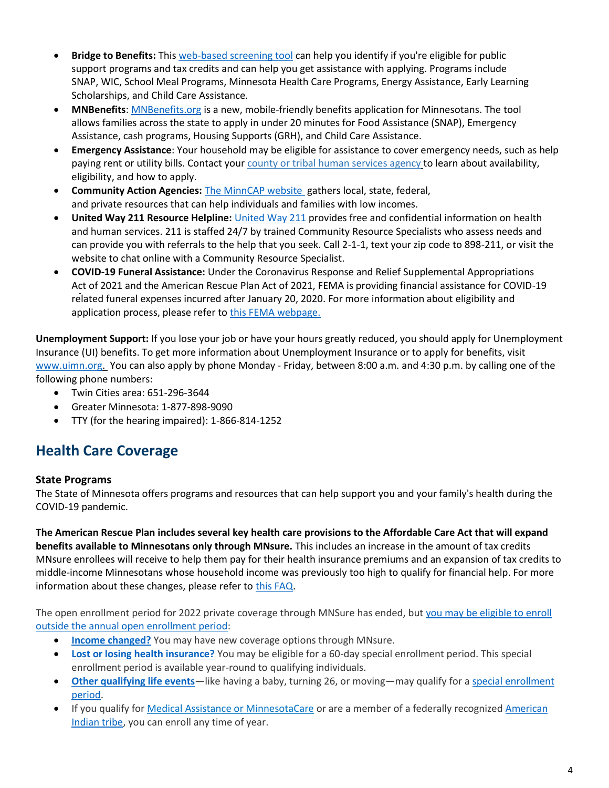- **Bridge to Benefits:** This [web-based screening tool](http://www.bridgetobenefits.org/Home2) can help you identify if you're eligible for public support programs and tax credits and can help you get assistance with applying. Programs include SNAP, WIC, School Meal Programs, Minnesota Health Care Programs, Energy Assistance, Early Learning Scholarships, and Child Care Assistance.
- **MNBenefits**: [MNBenefits.org](http://mnbenefits.org/) is a new, mobile-friendly benefits application for Minnesotans. The tool allows families across the state to apply in under 20 minutes for Food Assistance (SNAP), Emergency Assistance, cash programs, Housing Supports (GRH), and Child Care Assistance.
- **Emergency Assistance**: Your household may be eligible for assistance to cover emergency needs, such as help paying rent or utility bills. Contact you[r county or tribal human services agency](https://edocs.dhs.state.mn.us/lfserver/Public/DHS-5207-ENG) to learn about availability, eligibility, and how to apply.
- **Community Action Agencies:** [The MinnCAP](https://www.minncap.org/) website gathers local, state, federal, and private resources that can help individuals and families with low incomes.
- **United Way 211 Resource Helpline:** United [Way 211](https://www.211unitedway.org/) provides free and confidential information on health and human services. 211 is staffed 24/7 by trained Community Resource Specialists who assess needs and can provide you with referrals to the help that you seek. Call 2-1-1, text your zip code to 898-211, or visit the website to chat online with a Community Resource Specialist.
- **COVID-19 Funeral Assistance:** Under the Coronavirus Response and Relief Supplemental Appropriations Act of 2021 and the American Rescue Plan Act of 2021, FEMA is providing financial assistance for COVID-19 related funeral expenses incurred after January 20, 2020. For more information about eligibility and application process, please refer to [this FEMA webpage.](https://www.fema.gov/disasters/coronavirus/economic/funeral-assistance)

**Unemployment Support:** If you lose your job or have your hours greatly reduced, you should apply for Unemployment Insurance (UI) benefits. To get more information about Unemployment Insurance or to apply for benefits, visit [www.uimn.org.](http://www.uimn.org/) You can also apply by phone Monday - Friday, between 8:00 a.m. and 4:30 p.m. by calling one of the following phone numbers:

- Twin Cities area: 651-296-3644
- Greater Minnesota: 1-877-898-9090
- TTY (for the hearing impaired): 1-866-814-1252

# **Health Care Coverage**

#### **State Programs**

The State of Minnesota offers programs and resources that can help support you and your family's health during the COVID-19 pandemic.

**The American Rescue Plan includes several key health care provisions to the Affordable Care Act that will expand benefits available to Minnesotans only through MNsure.** This includes an increase in the amount of tax credits MNsure enrollees will receive to help them pay for their health insurance premiums and an expansion of tax credits to middle-income Minnesotans whose household income was previously too high to qualify for financial help. For more information about these changes, please refer to [this FAQ.](https://www.mnsure.org/learn-more/aca/arpa-faq.jsp)

The open enrollment period for 2022 private coverage through MNSure has ended, but you may be eligible to enroll [outside the annual open enrollment period:](https://www.mnsure.org/new-customers/index.jsp)

- **[Income changed?](https://www.mnsure.org/covid/income-change.jsp)** You may have new coverage options through MNsure.
- **[Lost or losing health insurance?](https://www.mnsure.org/new-customers/enrollment-deadlines/special-enrollment/sep-le/lost-coverage/index.jsp)** You may be eligible for a 60-day special enrollment period. This special enrollment period is available year-round to qualifying individuals.
- **[Other qualifying life events](https://www.mnsure.org/new-customers/enrollment-deadlines/special-enrollment/sep-le/index.jsp)**—like having a baby, turning 26, or moving—may qualify for a special enrollment [period.](https://www.mnsure.org/new-customers/enrollment-deadlines/special-enrollment/index.jsp)
- If you qualify for [Medical Assistance or MinnesotaCare](https://www.mnsure.org/financial-help/ma-mncare/index.jsp) or are a member of a federally recognized [American](https://www.mnsure.org/new-customers/who-can-enroll/american-indians/index.jsp)  [Indian tribe,](https://www.mnsure.org/new-customers/who-can-enroll/american-indians/index.jsp) you can enroll any time of year.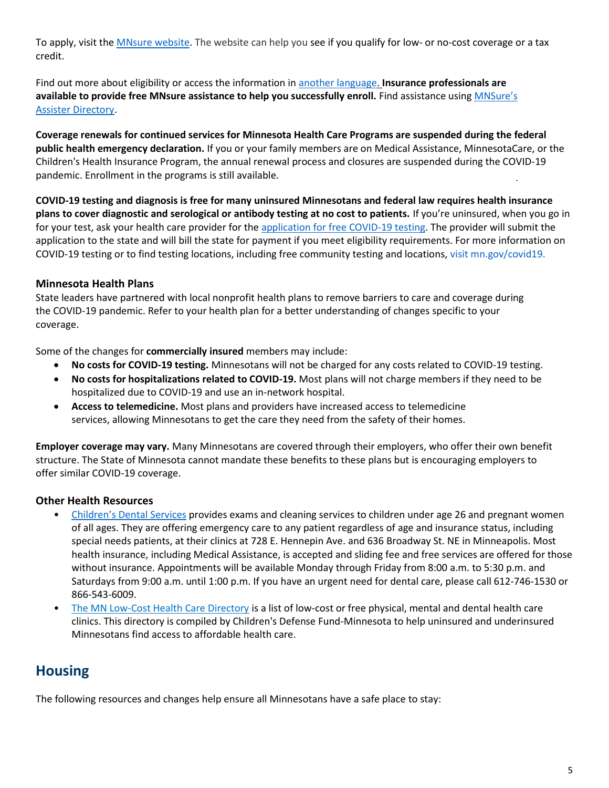To apply, visit the [MNsure website.](https://www.mnsure.org/) The website can help you see if you qualify for low- or no-cost coverage or a tax credit.

Find out more about eligibility or access the information in [another language.](https://www.mnsure.org/help/accessibility/languages/index.jsp) **Insurance professionals are available to provide free MNsure assistance to help you successfully enroll.** Find assistance using [MNSure's](https://www.mnsure.org/help/find-assister/find-assister.jsp)  [Assister Directory.](https://www.mnsure.org/help/find-assister/find-assister.jsp)

**Coverage renewals for continued services for Minnesota Health Care Programs are suspended during the federal public health emergency declaration.** If you or your family members are on Medical Assistance, MinnesotaCare, or the Children's Health Insurance Program, the annual renewal process and closures are suspended during the COVID-19 pandemic. Enrollment in the programs is still available.

**COVID-19 testing and diagnosis is free for many uninsured Minnesotans and federal law requires health insurance plans to cover diagnostic and serological or antibody testing at no cost to patients.** If you're uninsured, when you go in for your test, ask your health care provider for the [application for free COVID-19 testing. T](https://edocs.dhs.state.mn.us/lfserver/Public/DHS-7310-ENG)he provider will submit the application to the state and will bill the state for payment if you meet eligibility requirements. For more information on COVID-19 testing or to find testing locations, including free community testing and locations[, visit mn.gov/covid19.](https://mn.gov/covid19/for-minnesotans/if-sick/index.jsp) 

#### **Minnesota Health Plans**

State leaders have partnered with local nonprofit health plans to remove barriers to care and coverage during the COVID-19 pandemic. Refer to your health plan for a better understanding of changes specific to your coverage.

Some of the changes for **commercially insured** members may include:

- **No costs for COVID-19 testing.** Minnesotans will not be charged for any costs related to COVID-19 testing.
- **No costs for hospitalizations related to COVID-19.** Most plans will not charge members if they need to be hospitalized due to COVID-19 and use an in-network hospital.
- **Access to telemedicine.** Most plans and providers have increased access to telemedicine services, allowing Minnesotans to get the care they need from the safety of their homes.

**Employer coverage may vary.** Many Minnesotans are covered through their employers, who offer their own benefit structure. The State of Minnesota cannot mandate these benefits to these plans but is encouraging employers to offer similar COVID-19 coverage.

#### **Other Health Resources**

- [Children's Dental Services](http://childrensdentalservices.org/) provides exams and cleaning services to children under age 26 and pregnant women of all ages. They are offering emergency care to any patient regardless of age and insurance status, including special needs patients, at their clinics at 728 E. Hennepin Ave. and 636 Broadway St. NE in Minneapolis. Most health insurance, including Medical Assistance, is accepted and sliding fee and free services are offered for those without insurance. Appointments will be available Monday through Friday from 8:00 a.m. to 5:30 p.m. and Saturdays from 9:00 a.m. until 1:00 p.m. If you have an urgent need for dental care, please call 612-746-1530 or 866-543-6009.
- [The MN Low-Cost Health Care Directory](http://bridgetobenefits.org/MN_Low_Cost_Health_Care_Directory) is a list of low-cost or free physical, mental and dental health care clinics. This directory is compiled by Children's Defense Fund-Minnesota to help uninsured and underinsured Minnesotans find access to affordable health care.

### **Housing**

The following resources and changes help ensure all Minnesotans have a safe place to stay: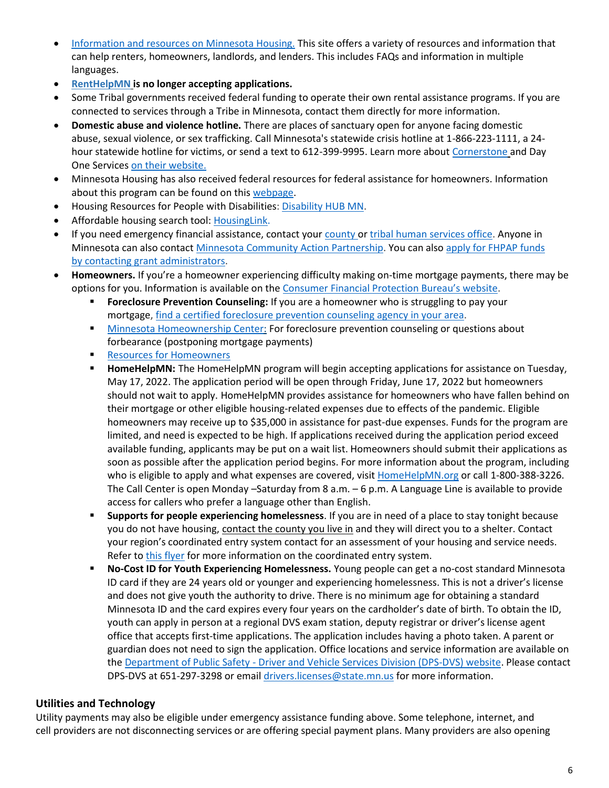- [Information and resources on Minnesota Housing.](http://www.mnhousing.gov/sites/Satellite?c=Page&cid=1520221592207&pagename=External%2FPage%2FEXTStandardLayout) This site offers a variety of resources and information that can help renters, homeowners, landlords, and lenders. This includes FAQs and information in multiple languages.
- **[RentHelpMN](https://www.renthelpmn.org/) is no longer accepting applications.**
- Some Tribal governments received federal funding to operate their own rental assistance programs. If you are connected to services through a Tribe in Minnesota, contact them directly for more information.
- **Domestic abuse and violence hotline.** There are places of sanctuary open for anyone facing domestic abuse, sexual violence, or sex trafficking. Call Minnesota's statewide crisis hotline at 1-866-223-1111, a 24 hour statewide hotline for victims, or send a text to 612-399-9995. Learn more abou[t Cornerstone](https://cornerstonemn.org/emergency-services/statewide-hotline/) and Day One Services [on their website.](http://dayoneservices.org/)
- Minnesota Housing has also received federal resources for federal assistance for homeowners. Information about this program can be found o[n this webpage.](https://mnhousing.gov/sites/Satellite?cid=1520490996825&pagename=External%2FPage%2FEXTStandardLayout)
- Housing Resources for People with Disabilities: [Disability HUB MN.](https://disabilityhubmn.org/)
- Affordable housing search tool[: HousingLink.](https://www.housinglink.org/)
- If you need emergency financial assistance, contact your [county](https://mn.gov/portal/government/local/counties/) or [tribal human services office.](https://mn.gov/portal/government/tribal/mn-indian-tribes/) Anyone in Minnesota can also contact [Minnesota Community Action Partnership.](https://gcc02.safelinks.protection.outlook.com/?url=https%3A%2F%2Fwww.minncap.org%2F&data=04%7C01%7CBrenda.Sanchez%40state.mn.us%7C4faa88e0b23d4ce7412708d915831b47%7Ceb14b04624c445198f26b89c2159828c%7C0%7C0%7C637564475107036181%7CUnknown%7CTWFpbGZsb3d8eyJWIjoiMC4wLjAwMDAiLCJQIjoiV2luMzIiLCJBTiI6Ik1haWwiLCJXVCI6Mn0%3D%7C1000&sdata=dpP2Ojj1KxZYuJLDpqGikR8ExnMnJA4dfvnGcWd0CXs%3D&reserved=0) You can also [apply for FHPAP funds](https://gcc02.safelinks.protection.outlook.com/?url=https%3A%2F%2Fwww.mnhousing.gov%2Fget%2FMHFA_007798&data=04%7C01%7CBrenda.Sanchez%40state.mn.us%7C4faa88e0b23d4ce7412708d915831b47%7Ceb14b04624c445198f26b89c2159828c%7C0%7C0%7C637564475107046141%7CUnknown%7CTWFpbGZsb3d8eyJWIjoiMC4wLjAwMDAiLCJQIjoiV2luMzIiLCJBTiI6Ik1haWwiLCJXVCI6Mn0%3D%7C1000&sdata=Gq2uwuxRI6RJr4OE9wMwnfx1%2BTO8jAoMz5TIX43UYmQ%3D&reserved=0)  [by contacting grant administrators.](https://gcc02.safelinks.protection.outlook.com/?url=https%3A%2F%2Fwww.mnhousing.gov%2Fget%2FMHFA_007798&data=04%7C01%7CBrenda.Sanchez%40state.mn.us%7C4faa88e0b23d4ce7412708d915831b47%7Ceb14b04624c445198f26b89c2159828c%7C0%7C0%7C637564475107046141%7CUnknown%7CTWFpbGZsb3d8eyJWIjoiMC4wLjAwMDAiLCJQIjoiV2luMzIiLCJBTiI6Ik1haWwiLCJXVCI6Mn0%3D%7C1000&sdata=Gq2uwuxRI6RJr4OE9wMwnfx1%2BTO8jAoMz5TIX43UYmQ%3D&reserved=0)
- **Homeowners.** If you're a homeowner experiencing difficulty making on-time mortgage payments, there may be options for you. Information is available on the [Consumer Financial Protection Bureau's website](https://gcc02.safelinks.protection.outlook.com/?url=https%3A%2F%2Fwww.consumerfinance.gov%2Fabout-us%2Fblog%2Fguide-coronavirus-mortgage-relief-options%2F&data=04%7C01%7CBrenda.Sanchez%40state.mn.us%7C4faa88e0b23d4ce7412708d915831b47%7Ceb14b04624c445198f26b89c2159828c%7C0%7C0%7C637564475107056117%7CUnknown%7CTWFpbGZsb3d8eyJWIjoiMC4wLjAwMDAiLCJQIjoiV2luMzIiLCJBTiI6Ik1haWwiLCJXVCI6Mn0%3D%7C1000&sdata=ID7O6QJ7sBcJPsiJ%2BK%2BgTivaV%2B21YkuATSfieruImJk%3D&reserved=0).
	- **Foreclosure Prevention Counseling:** If you are a homeowner who is struggling to pay your mortgage, [find a certified foreclosure prevention counseling agency in your area.](https://gcc02.safelinks.protection.outlook.com/?url=https%3A%2F%2Fwww.hocmn.org%2Fsearch-help%2F%3Ffwp_audience_services%3Dforeclosure-prevention-advice&data=04%7C01%7CBrenda.Sanchez%40state.mn.us%7C4faa88e0b23d4ce7412708d915831b47%7Ceb14b04624c445198f26b89c2159828c%7C0%7C0%7C637564475107056117%7CUnknown%7CTWFpbGZsb3d8eyJWIjoiMC4wLjAwMDAiLCJQIjoiV2luMzIiLCJBTiI6Ik1haWwiLCJXVCI6Mn0%3D%7C1000&sdata=Df4QxyIaI34ZYzsPjvtuSS7mKcLA%2BIYfUvD724fyDSw%3D&reserved=0)
	- [Minnesota Homeownership Center:](https://gcc02.safelinks.protection.outlook.com/?url=https%3A%2F%2Fwww.hocmn.org%2F&data=04%7C01%7CBrenda.Sanchez%40state.mn.us%7C4faa88e0b23d4ce7412708d915831b47%7Ceb14b04624c445198f26b89c2159828c%7C0%7C0%7C637564475107066054%7CUnknown%7CTWFpbGZsb3d8eyJWIjoiMC4wLjAwMDAiLCJQIjoiV2luMzIiLCJBTiI6Ik1haWwiLCJXVCI6Mn0%3D%7C1000&sdata=%2FO%2B9NAVzAA1%2FdGqKpWe7u%2BLME0gMhsDMxM0b3PVFlmA%3D&reserved=0) For foreclosure prevention counseling or questions about forbearance (postponing mortgage payments)
	- **[Resources for Homeowners](https://gcc02.safelinks.protection.outlook.com/?url=http%3A%2F%2Fwww.mnhousing.gov%2Fsites%2Flenders%2Fhomeimprovement&data=04%7C01%7CBrenda.Sanchez%40state.mn.us%7C4faa88e0b23d4ce7412708d915831b47%7Ceb14b04624c445198f26b89c2159828c%7C0%7C0%7C637564475107066054%7CUnknown%7CTWFpbGZsb3d8eyJWIjoiMC4wLjAwMDAiLCJQIjoiV2luMzIiLCJBTiI6Ik1haWwiLCJXVCI6Mn0%3D%7C1000&sdata=On57Zo1reIfEY4NpGKvUuQ%2FWDn1CrfbKlN0BqwBe4As%3D&reserved=0)**
	- **HomeHelpMN:** The HomeHelpMN program will begin accepting applications for assistance on Tuesday, May 17, 2022. The application period will be open through Friday, June 17, 2022 but homeowners should not wait to apply. HomeHelpMN provides assistance for homeowners who have fallen behind on their mortgage or other eligible housing-related expenses due to effects of the pandemic. Eligible homeowners may receive up to \$35,000 in assistance for past-due expenses. Funds for the program are limited, and need is expected to be high. If applications received during the application period exceed available funding, applicants may be put on a wait list. Homeowners should submit their applications as soon as possible after the application period begins. For more information about the program, including who is eligible to apply and what expenses are covered, visi[t HomeHelpMN.org](https://homehelpmn.org/) or call 1-800-388-3226. The Call Center is open Monday –Saturday from 8 a.m. – 6 p.m. A Language Line is available to provide access for callers who prefer a language other than English.
	- **Supports for people experiencing homelessness**. If you are in need of a place to stay tonight because you do not have housing, [contact the county you live in](https://mn.gov/portal/government/local/counties/) and they will direct you to a shelter. Contact your region's coordinated entry system contact for an assessment of your housing and service needs. Refer t[o this flyer](https://www.mnhousing.gov/sites/Satellite?blobcol=urldata&blobheadername1=Content-Type&blobheadername2=Content-Disposition&blobheadername3=MDT-Type&blobheadervalue1=application%2Fpdf&blobheadervalue2=attachment%3B+filename%3DMHFA_1041446.pdf&blobheadervalue3=abinary%3B+charset%3DUTF-8&blobkey=id&blobtable=MungoBlobs&blobwhere=1533152585575&ssbinary=true) for more information on the coordinated entry system.
	- **No-Cost ID for Youth Experiencing Homelessness.** Young people can get a no-cost standard Minnesota ID card if they are 24 years old or younger and experiencing homelessness. This is not a driver's license and does not give youth the authority to drive. There is no minimum age for obtaining a standard Minnesota ID and the card expires every four years on the cardholder's date of birth. To obtain the ID, youth can apply in person at a regional DVS exam station, deputy registrar or driver's license agent office that accepts first-time applications. The application includes having a photo taken. A parent or guardian does not need to sign the application. Office locations and service information are available on the Department of Public Safety - [Driver and Vehicle Services Division \(DPS-DVS\) website.](https://onlineservices.dps.mn.gov/EServices/_/#1) Please contact DPS-DVS at 651-297-3298 or email [drivers.licenses@state.mn.us](mailto:drivers.licenses@state.mn.us) for more information.

#### **Utilities and Technology**

Utility payments may also be eligible under emergency assistance funding above. Some telephone, internet, and cell providers are not disconnecting services or are offering special payment plans. Many providers are also opening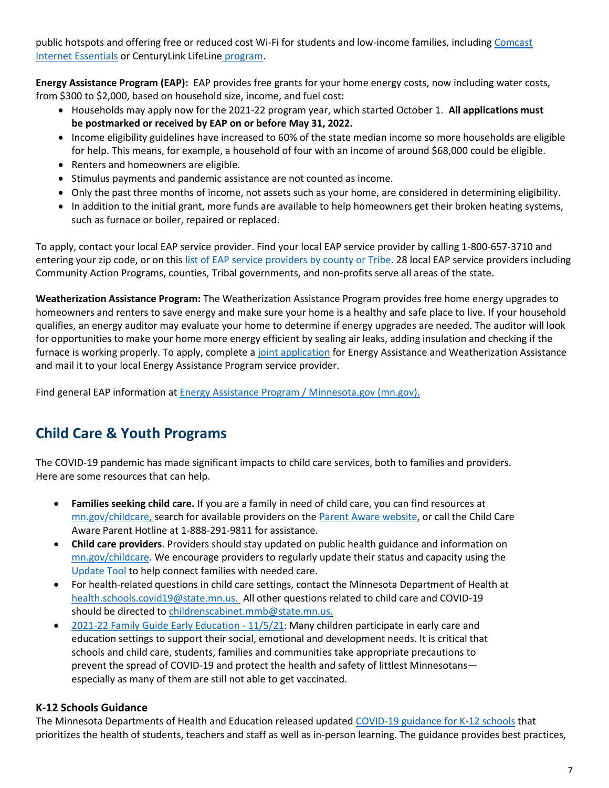public hotspots and offering free or reduced cost Wi-Fi for students and low-income families, including Comcast [Internet Essentials](https://www.internetessentials.com/apply) or [CenturyLink LifeLine](https://www.centurylink.com/aboutus/community/community-development/lifeline.html) program.

**[Energy Assistance Program \(EAP\):](https://mn.gov/commerce/consumers/consumer-assistance/energy-assistance/)** EAP provides free grants for your home energy costs, now including water costs, from \$300 to \$2,000, based on household size, income, and fuel cost:

- Households may apply now for the 2021-22 program year, which started October 1. All applications must **be postmarked or received by EAP on or before May 31, 2022.**
- Income eligibility guidelines have increased to 60% of the state median income so more households are eligible for help. This means, for example, a household of four with an income of around \$68,000 could be eligible.
- Renters and homeowners are eligible.
- Stimulus payments and pandemic assistance are not counted as income.
- Only the past three months of income, not assets such as your home, are considered in determining eligibility.
- In addition to the initial grant, more funds are available to help homeowners get their broken heating systems, such as furnace or boiler, repaired or replaced.

To apply, contact your local EAP service provider. Find your local EAP service provider by calling 1-800-657-3710 and entering your zip code, or on this [list of EAP service providers by county or Tribe.](https://mn.gov/commerce/consumers/consumer-assistance/energy-assistance/eap-provider.jsp) 28 local EAP service providers including Community Action Programs, counties, Tribal governments, and non-profits serve all areas of the state.

**Weatherization Assistance Program:** The Weatherization Assistance Program provides free home energy upgrades to homeowners and renters to save energy and make sure your home is a healthy and safe place to live. If your household qualifies, an energy auditor may evaluate your home to determine if energy upgrades are needed. The auditor will look for opportunities to make your home more energy efficient by sealing air leaks, adding insulation and checking if the furnace is working properly. To apply, complete a [joint application](https://mn.gov/commerce/consumers/consumer-assistance/energy-assistance/) for Energy Assistance and Weatherization Assistance and mail it to your local Energy Assistance Program service provider.

Find general EAP information at [Energy Assistance Program / Minnesota.gov \(mn.gov\).](file:///C:/Users/fiqui03/Downloads/Energy%20Assistance%20Program%20/%20Minnesota.gov%20(mn.gov))

# **Child Care & Youth Programs**

The COVID-19 pandemic has made significant impacts to child care services, both to families and providers. Here are some resources that can help.

- **Families seeking child care.** If you are a family in need of child care, you can find resources at [mn.gov/childcare,](https://mn.gov/mmb/childcare/families/) search for available providers on the [Parent Aware website,](https://www.parentaware.org/#/) or call the Child Care Aware Parent Hotline at 1-888-291-9811 for assistance.
- **Child care providers**. Providers should stay updated on public health guidance and information on [mn.gov/childcare. W](https://mn.gov/mmb/childcare/providers/)e encourage providers to regularly update their status and capacity using the [Update Tool](https://stage.worklifesystems.com/program/47) to help connect families with needed care.
- For health-related questions in child care settings, contact the Minnesota Department of Health at [health.schools.covid19@state.mn.us.](mailto:health.schools.covid19@state.mn.us.) All other questions related to child care and COVID-19 should be directed to [childrenscabinet.mmb@state.mn.us.](mailto:childrenscabinet.mmb@state.mn.us)
- [2021-22 Family Guide Early Education -](https://education.mn.gov/mdeprod/idcplg?IdcService=GET_FILE&dDocName=PROD046909&RevisionSelectionMethod=latestReleased&Rendition=primary) 11/5/21: Many children participate in early care and education settings to support their social, emotional and development needs. It is critical that schools and child care, students, families and communities take appropriate precautions to prevent the spread of COVID-19 and protect the health and safety of littlest Minnesotans especially as many of them are still not able to get vaccinated.

#### **K-12 Schools Guidance**

The Minnesota Departments of Health and Education released update[d COVID-19 guidance for K-12 schools](https://www.health.state.mn.us/diseases/coronavirus/schools/plan.html) that prioritizes the health of students, teachers and staff as well as in-person learning. The guidance provides best practices,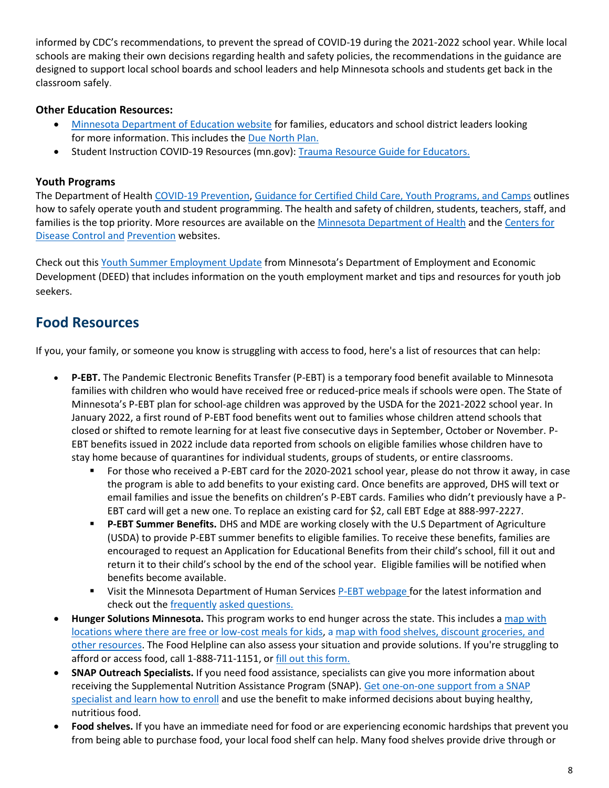informed by CDC's recommendations, to prevent the spread of COVID-19 during the 2021-2022 school year. While local schools are making their own decisions regarding health and safety policies, the recommendations in the guidance are designed to support local school boards and school leaders and help Minnesota schools and students get back in the classroom safely.

#### **Other Education Resources:**

- [Minnesota Department of Education website](https://education.mn.gov/MDE/dse/health/covid19/) for families, educators and school district leaders looking for more information. This includes th[e Due North Plan.](https://education.mn.gov/MDE/about/plan/)
- [Student I](https://education.mn.gov/MDE/dse/health/covid19/AcademicStandardsCOVID-19Resources/PROD034652)nstruction COVID-19 Resources (mn.gov): Trauma [Resource Guide for Educators.](https://2a392k31wksy2wkejf1y03dp-wpengine.netdna-ssl.com/wp-content/uploads/sites/188/2021/01/Trauma-Resources-for-Educators.pdf)

#### **Youth Programs**

The Department of Health [COVID-19 Prevention, Guidance for Certified Child Care, Youth Programs, and Camps](https://www.health.state.mn.us/diseases/coronavirus/youthguide.pdf) outlines how to safely operate youth and student programming. The health and safety of children, students, teachers, staff, and families is the top priority. More resources are available on th[e Minnesota Department of Health](https://www.health.state.mn.us/diseases/coronavirus/) and the Centers for [Disease Control and](https://gcc01.safelinks.protection.outlook.com/?url=https%3A%2F%2Fwww.cdc.gov%2Fcoronavirus%2F2019-ncov%2Fcommunity%2Fschools-childcare%2Findex.html&data=02%7C01%7Cjennifer.moses%40state.mn.us%7C5640e32a76c64a03e7ca08d7f7ac63b8%7Ceb14b04624c445198f26b89c2159828c%7C0%7C0%7C637250192094435847&sdata=FiLqHOb%2FQ790yu7DS%2B1lFfTdfuat8674G3%2B2%2BzrVP%2BM%3D&reserved=0) [Prevention](https://gcc01.safelinks.protection.outlook.com/?url=https%3A%2F%2Fwww.cdc.gov%2Fcoronavirus%2F2019-ncov%2Fcommunity%2Fschools-childcare%2Findex.html&data=02%7C01%7Cjennifer.moses%40state.mn.us%7C5640e32a76c64a03e7ca08d7f7ac63b8%7Ceb14b04624c445198f26b89c2159828c%7C0%7C0%7C637250192094435847&sdata=FiLqHOb%2FQ790yu7DS%2B1lFfTdfuat8674G3%2B2%2BzrVP%2BM%3D&reserved=0) websites.

Check out this [Youth Summer Employment Update](https://mn.gov/deed/newscenter/publications/review/march-2022/summer.jsp) from Minnesota's Department of Employment and Economic Development (DEED) that includes information on the youth employment market and tips and resources for youth job seekers.

### **Food Resources**

If you, your family, or someone you know is struggling with access to food, here's a list of resources that can help:

- **P-EBT.** The Pandemic Electronic Benefits Transfer (P-EBT) is a temporary food benefit available to Minnesota families with children who would have received free or reduced-price meals if schools were open. The State of Minnesota's P-EBT plan for school-age children was approved by the USDA for the 2021-2022 school year. In January 2022, a first round of P-EBT food benefits went out to families whose children attend schools that closed or shifted to remote learning for at least five consecutive days in September, October or November. P-EBT benefits issued in 2022 include data reported from schools on eligible families whose children have to stay home because of quarantines for individual students, groups of students, or entire classrooms.
	- For those who received a P-EBT card for the 2020-2021 school year, please do not throw it away, in case the program is able to add benefits to your existing card. Once benefits are approved, DHS will text or email families and issue the benefits on children's P-EBT cards. Families who didn't previously have a P-EBT card will get a new one. To replace an existing card for \$2, call EBT Edge at 888-997-2227.
	- **P-EBT Summer Benefits.** DHS and MDE are working closely with the U.S Department of Agriculture (USDA) to provide P-EBT summer benefits to eligible families. To receive these benefits, families are encouraged to request an Application for Educational Benefits from their child's school, fill it out and return it to their child's school by the end of the school year. Eligible families will be notified when benefits become available.
	- **Visit the Minnesota Department of Human Services [P-EBT webpage](https://mn.gov/dhs/p-ebt/) for the latest information and** check out the [frequently](https://mn.gov/dhs/p-ebt/faqs/) [asked questions.](https://mn.gov/dhs/p-ebt/faqs/)
- **Hunger Solutions Minnesota.** This program works to end hunger across the state. This includes a [map with](http://www.hungersolutions.org/2020/03/16/meals-for-kids-during-covid-19-closings/) [locations where there are free or low-cost meals for kids,](http://www.hungersolutions.org/2020/03/16/meals-for-kids-during-covid-19-closings/) [a map with food shelves, discount groceries, and](http://www.hungersolutions.org/find-help/) [other resources.](http://www.hungersolutions.org/find-help/) The Food Helpline can also assess your situation and provide solutions. If you're struggling to afford or access food, call 1-888-711-1151, o[r fill out this form.](https://www.hungersolutions.org/programs/mn-food-helpline/how-can-we-help-you/)
- **SNAP Outreach Specialists.** If you need food assistance, specialists can give you more information about receiving the Supplemental Nutrition Assistance Program (SNAP). [Get one-on-one support from a SNAP](https://mn.gov/dhs/mnfoodhelper/) [specialist and learn how to enroll](https://mn.gov/dhs/mnfoodhelper/) and use the benefit to make informed decisions about buying healthy, nutritious food.
- **Food shelves.** If you have an immediate need for food or are experiencing economic hardships that prevent you from being able to purchase food, your local food shelf can help. Many food shelves provide drive through or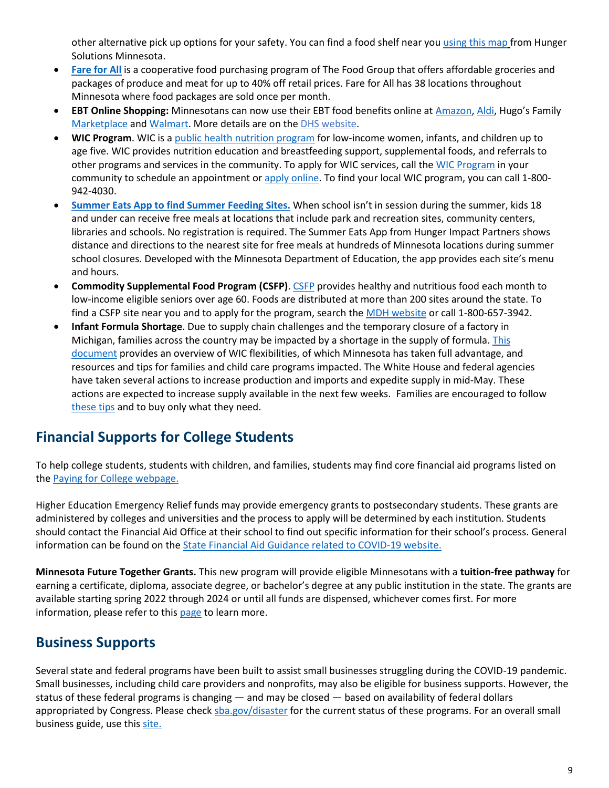other alternative pick up options for your safety. You can find a food shelf near you using [this map](http://www.hungersolutions.org/find-help/) from Hunger Solutions Minnesota.

- **[Fare for All](https://fareforall.thefoodgroupmn.org/)** is a cooperative food purchasing program of The Food Group that offers affordable groceries and packages of produce and meat for up to 40% off retail prices. Fare for All has 38 locations throughout Minnesota where food packages are sold once per month.
- **EBT Online Shopping:** Minnesotans can now use their EBT food benefits online at [Amazon,](https://www.amazon.com/snap-ebt/b?ie=UTF8&node=19097785011) [Aldi](https://www.instacart.com/help/section/360009947632), Hugo's Family [Marketplace](https://www.gohugos.com/) and [Walmart. M](https://gcc02.safelinks.protection.outlook.com/?url=https%3A%2F%2Fwww.walmart.com%2Fideas%2Fdiscover-grocery-pickup-delivery%2Fwalmart-grocery-pickup-accepts-snap-ebt-payments%2F355540&data=04%7C01%7CBrenda.Sanchez%40state.mn.us%7Ce8e1f30e20774cd93d1808d93b0cfbdd%7Ceb14b04624c445198f26b89c2159828c%7C0%7C0%7C637605749216314250%7CUnknown%7CTWFpbGZsb3d8eyJWIjoiMC4wLjAwMDAiLCJQIjoiV2luMzIiLCJBTiI6Ik1haWwiLCJXVCI6Mn0%3D%7C1000&sdata=Yictvtps35BQ4a4s%2FhVbBLksKX2IebAdGeFP%2BFEwW9s%3D&reserved=0)ore details are on the [DHS website.](https://mn.gov/dhs/people-we-serve/children-and-families/economic-assistance/food-nutrition/resources/online-ebt-faqs.jsp)
- **WIC Program**. WIC is a [public health nutrition program](https://www.health.state.mn.us/people/wic/index.html) for low-income women, infants, and children up to age five. WIC provides nutrition education and breastfeeding support, supplemental foods, and referrals to other programs and services in the community. To apply for WIC services, call the [WIC Program](https://www.health.state.mn.us/forms/cfh/wicdirectory/index.html) in your community to schedule an appointment or [apply online.](https://redcap.health.state.mn.us/redcap/surveys/?s=LNKN377EPE) To find your local WIC program, you can call 1-800-942-4030.
- **[Summer Eats App to find Summer Feeding Sites.](https://hungerimpactpartners.org/summereats/#:~:text=When%20school%20isn)** When school isn't in session during the summer, kids 18 and under can receive free meals at locations that include park and recreation sites, community centers, libraries and schools. No registration is required. The Summer Eats App from Hunger Impact Partners shows distance and directions to the nearest site for free meals at hundreds of Minnesota locations during summer school closures. Developed with the Minnesota Department of Education, the app provides each site's menu and hours.
- **Commodity Supplemental Food Program (CSFP)**. [CSFP](https://www.health.state.mn.us/people/csfp/index.html) provides healthy and nutritious food each month to low-income eligible seniors over age 60. Foods are distributed at more than 200 sites around the state. To find a CSFP site near you and to apply for the program, search the [MDH website](https://www.health.state.mn.us/people/csfp/index.html#distributed) or call 1-800-657-3942.
- **Infant Formula Shortage**. Due to supply chain challenges and the temporary closure of a factory in Michigan, families across the country may be impacted by a shortage in the supply of formula. [This](https://www.health.state.mn.us/docs/people/wic/localagency/recall/shortage.pdf)  [document](https://www.health.state.mn.us/docs/people/wic/localagency/recall/shortage.pdf) provides an overview of WIC flexibilities, of which Minnesota has taken full advantage, and resources and tips for families and child care programs impacted. The White House and federal agencies have taken several actions to increase production and imports and expedite supply in mid-May. These actions are expected to increase supply available in the next few weeks. Families are encouraged to follow [these tips](https://www.health.state.mn.us/docs/people/wic/localagency/recall/shortage.pdf) and to buy only what they need.

# **Financial Supports for College Students**

To help college students, students with children, and families, students may find core financial aid programs listed on the [Paying for College](https://www.ohe.state.mn.us/mPg.cfm?pageID=888) webpage.

Higher Education Emergency Relief funds may provide emergency grants to postsecondary students. These grants are administered by colleges and universities and the process to apply will be determined by each institution. Students should contact the Financial Aid Office at their school to find out specific information for their school's process. General information can be found on the [State Financial Aid Guidance related to COVID-19 website.](https://www.ohe.state.mn.us/mPg.cfm?pageID=2391)

**Minnesota Future Together Grants.** This new program will provide eligible Minnesotans with a **tuition-free pathway** for earning a certificate, diploma, associate degree, or bachelor's degree at any public institution in the state. The grants are available starting spring 2022 through 2024 or until all funds are dispensed, whichever comes first. For more information, please refer to this [page](http://www.ohe.state.mn.us/sPages/FTG.cfm) to learn more.

## **Business Supports**

Several state and federal programs have been built to assist small businesses struggling during the COVID-19 pandemic. Small businesses, including child care providers and nonprofits, may also be eligible for business supports. However, the status of these federal programs is changing — and may be closed — based on availability of federal dollars appropriated by Congress. Please chec[k sba.gov/disaster](http://sba.gov/disaster) for the current status of these programs. For an overall small business guide, use thi[s site.](https://mn.gov/deed/business/help/sbao/)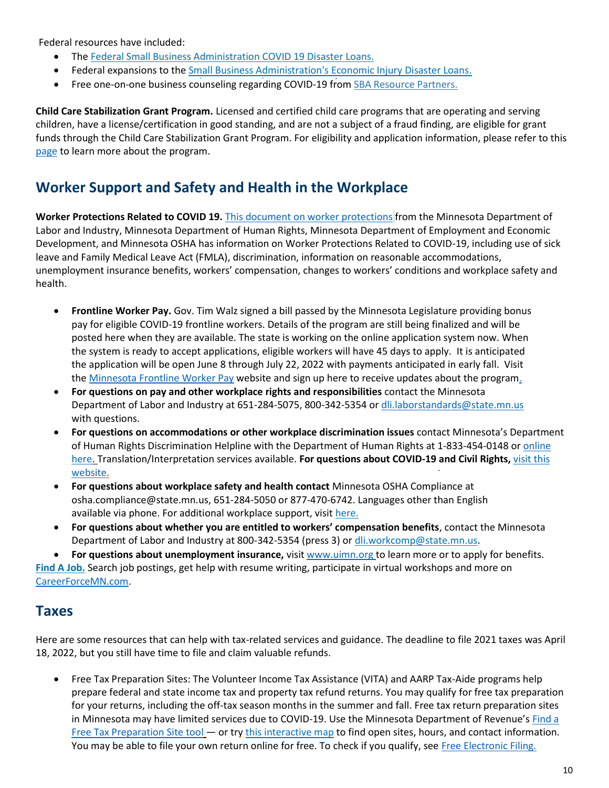Federal resources have included:

- The [Federal Small Business Administration COVID 19 Disaster Loans.](https://mn.gov/deed/business/financing-business/federal-sba/)
- Federal expansions to th[e Small Business Administration's Economic Injury Disaster Loans.](https://gcc01.safelinks.protection.outlook.com/?url=https%3A%2F%2Fwww.sba.gov%2Ffunding-programs%2Fdisaster-assistance&data=02%7C01%7CBrenda.Sanchez%40state.mn.us%7Ce051481030f74db5b31408d7d7dd1500%7Ceb14b04624c445198f26b89c2159828c%7C0%7C0%7C637215216854769177&sdata=mEAQ8o8UlmhsuvJOLr2fK2WFIdZcMFIiIxFvT68Q5qA%3D&reserved=0)
- Free one-on-one business counseling regarding COVID-19 from [SBA Resource Partners.](https://gcc01.safelinks.protection.outlook.com/?url=https%3A%2F%2Fwww.sba.gov%2Flocal-assistance&data=02%7C01%7CBrenda.Sanchez%40state.mn.us%7Ce051481030f74db5b31408d7d7dd1500%7Ceb14b04624c445198f26b89c2159828c%7C0%7C0%7C637215216854779136&sdata=2dM0Bz9HXbjBMtKrvrMsdgd70p86o6sT1CcfNCrMCxg%3D&reserved=0)

**Child Care Stabilization Grant Program.** Licensed and certified child care programs that are operating and serving children, have a license/certification in good standing, and are not a subject of a fraud finding, are eligible for grant funds through the Child Care Stabilization Grant Program. For eligibility and application information, please refer to this [page](https://mn.gov/dhs/partners-and-providers/grants-rfps/child-care-stabilization/) to learn more about the program.

## **Worker Support and Safety and Health in the Workplace**

**Worker Protections Related to COVID 19.** [This document on worker protections](https://www.dli.mn.gov/sites/default/files/pdf/MN_worker_protections_related_to_COVID_19.pdf) from the Minnesota Department of Labor and Industry, Minnesota Department of Human Rights, Minnesota Department of Employment and Economic Development, and Minnesota OSHA has information on Worker Protections Related to COVID-19, including use of sick leave and Family Medical Leave Act (FMLA), discrimination, information on reasonable accommodations, unemployment insurance benefits, workers' compensation, changes to workers' conditions and workplace safety and health.

- **Frontline Worker Pay.** Gov. Tim Walz signed a bill passed by the Minnesota Legislature providing bonus pay for eligible COVID-19 frontline workers. Details of the program are still being finalized and will be posted here when they are available. The state is working on the online application system now. When the system is ready to accept applications, eligible workers will have 45 days to apply. It is anticipated the application will be open June 8 through July 22, 2022 with payments anticipated in early fall. Visit th[e Minnesota Frontline Worker Pay](https://frontlinepay.mn.gov/) website an[d sign up here to receive updates about the program.](https://public.govdelivery.com/accounts/MNDLI/subscriber/new?topic_id=MNDLI_168)
- **For questions on pay and other workplace rights and responsibilities** contact the Minnesota Department of Labor and Industry at 651-284-5075, 800-342-5354 o[r dli.laborstandards@state.mn.us](mailto:dli.laborstandards@state.mn.us) with questions.
- **For questions on accommodations or other workplace discrimination issues** contact Minnesota's Department of Human Rights Discrimination Helpline with the Department of Human Rights at 1-833-454-0148 or [online](https://mn.gov/mdhr/intake/consultationinquiryform/)  [here. T](https://mn.gov/mdhr/intake/consultationinquiryform/)ranslation/Interpretation services available. **For questions about COVID-19 and Civil Rights,** [visit this](https://mn.gov/mdhr/news-community/covid-19/)  [website.](https://mn.gov/mdhr/news-community/covid-19/)
- **For questions about workplace safety and health contact** Minnesota OSHA Compliance at osha.compliance@state.mn.us, 651-284-5050 or 877-470-6742. Languages other than English available via phone. For additional workplace support, visit [here.](https://mn.gov/covid19/for-minnesotans/get-help/employment.jsp)
- **For questions about whether you are entitled to workers' compensation benefits**, contact the Minnesota Department of Labor and Industry at 800-342-5354 (press 3) or dli.workcomp@state.mn.us.

 **For questions about unemployment insurance,** visit www.uimn.org to learn more or to apply for benefits. **[Find A Job.](https://www.careerforcemn.com/)** Search job postings, get help with resume writing, participate in virtual workshops and more on [CareerForceMN.com.](https://www.careerforcemn.com/)

#### **Taxes**

Here are some resources that can help with tax-related services and guidance. The deadline to file 2021 taxes was April 18, 2022, but you still have time to file and claim valuable refunds.

 Free Tax Preparation Sites: The Volunteer Income Tax Assistance (VITA) and AARP Tax-Aide programs help prepare federal and state income tax and property tax refund returns. You may qualify for free tax preparation for your returns, including the off-tax season months in the summer and fall. Free tax return preparation sites in Minnesota may have limited services due to COVID-19. Use the Minnesota Department of Revenue's [Find a](https://www.revenue.state.mn.us/free-tax-preparation-sites)  [Free Tax Preparation Site tool](https://www.revenue.state.mn.us/free-tax-preparation-sites) — or tr[y this interactive map](https://gcc02.safelinks.protection.outlook.com/?url=https%3A%2F%2Fmdor.maps.arcgis.com%2Fapps%2Fwebappviewer%2Findex.html%3Fid%3D89fb8256ab86464885babaabb348c673&data=04%7C01%7CBrenda.Sanchez%40state.mn.us%7C633c1b19103c4427d6ab08d8d282004b%7Ceb14b04624c445198f26b89c2159828c%7C0%7C0%7C637490803073193004%7CUnknown%7CTWFpbGZsb3d8eyJWIjoiMC4wLjAwMDAiLCJQIjoiV2luMzIiLCJBTiI6Ik1haWwiLCJXVCI6Mn0%3D%7C1000&sdata=bpP81cam%2BfUK0URvuZJo1VY43DvFCmgMFsnsks1n%2BcA%3D&reserved=0) to find open sites, hours, and contact information. You may be able to file your own return online for free. To check if you qualify, see [Free Electronic Filing.](https://www.revenue.state.mn.us/free-electronic-filing)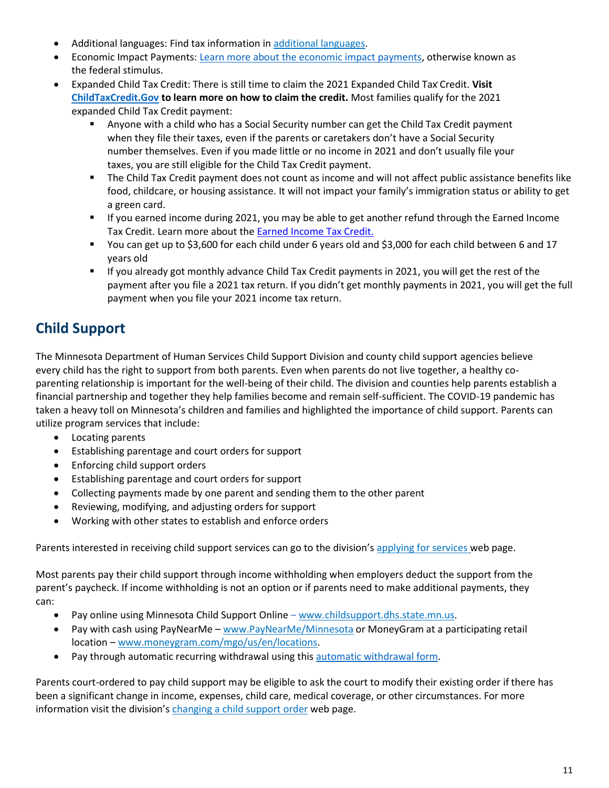- Additional languages: Find tax information in [additional languages.](https://www.revenue.state.mn.us/index.php/other-languages)
- Economic Impact Payments[: Learn more about the economic impact payments, o](https://www.irs.gov/newsroom/economic-impact-payments-what-you-need-to-know)therwise known as the federal stimulus.
- Expanded Child Tax Credit: There is still time to claim the 2021 Expanded Child Tax Credit. **Visit [ChildTaxCredit.Gov](https://www.childtaxcredit.gov/) to learn more on how to claim the credit.** Most families qualify for the 2021 expanded Child Tax Credit payment:
	- Anyone with a child who has a Social Security number can get the Child Tax Credit payment when they file their taxes, even if the parents or caretakers don't have a Social Security number themselves. Even if you made little or no income in 2021 and don't usually file your taxes, you are still eligible for the Child Tax Credit payment.
	- The Child Tax Credit payment does not count as income and will not affect public assistance benefits like food, childcare, or housing assistance. It will not impact your family's immigration status or ability to get a green card.
	- If you earned income during 2021, you may be able to get another refund through the Earned Income Tax Credit. Learn more about the [Earned Income Tax Credit.](https://www.irs.gov/credits-deductions/individuals/earned-income-tax-credit-eitc)
	- You can get up to \$3,600 for each child under 6 years old and \$3,000 for each child between 6 and 17 years old
	- If you already got monthly advance Child Tax Credit payments in 2021, you will get the rest of the payment after you file a 2021 tax return. If you didn't get monthly payments in 2021, you will get the full payment when you file your 2021 income tax return.

# **Child Support**

The Minnesota Department of Human Services Child Support Division and county child support agencies believe every child has the right to support from both parents. Even when parents do not live together, a healthy coparenting relationship is important for the well-being of their child. The division and counties help parents establish a financial partnership and together they help families become and remain self-sufficient. The COVID-19 pandemic has taken a heavy toll on Minnesota's children and families and highlighted the importance of child support. Parents can utilize program services that include:

- Locating parents
- Establishing parentage and court orders for support
- Enforcing child support orders
- Establishing parentage and court orders for support
- Collecting payments made by one parent and sending them to the other parent
- Reviewing, modifying, and adjusting orders for support
- Working with other states to establish and enforce orders

Parents interested in receiving child support services can go to the division's [applying for services w](https://mn.gov/dhs/people-we-serve/children-and-families/services/child-support/programs-services/applying-for-services.jsp)eb page.

Most parents pay their child support through income withholding when employers deduct the support from the parent's paycheck. If income withholding is not an option or if parents need to make additional payments, they can:

- Pay online using Minnesota Child Support Online [www.childsupport.dhs.state.mn.us.](http://www.childsupport.dhs.state.mn.us/Action/Welcome)
- Pay with cash using PayNearMe [www.PayNearMe/Minnesota](https://www.paynearme.com/~4ATlSI2n08vJq7amH8je3g==) or MoneyGram at a participating retail location – [www.moneygram.com/mgo/us/en/locations.](https://www.moneygram.com/mgo/us/en/locations)
- Pay through automatic recurring withdrawal using this [automatic withdrawal form.](https://edocs.dhs.state.mn.us/lfserver/Public/DHS-4117-ENG)

Parents court-ordered to pay child support may be eligible to ask the court to modify their existing order if there has been a significant change in income, expenses, child care, medical coverage, or other circumstances. For more information visit the division's [changing a child support order](https://mn.gov/dhs/people-we-serve/children-and-families/services/child-support/programs-services/change-orders.jsp) web page.